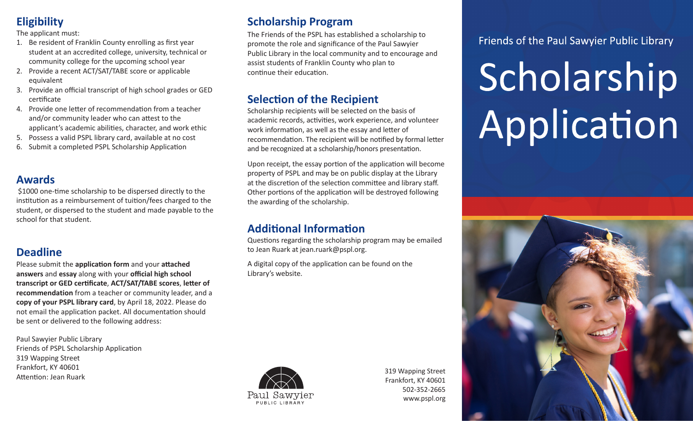# **Eligibility**

#### The applicant must:

- 1. Be resident of Franklin County enrolling as first year student at an accredited college, university, technical or community college for the upcoming school year
- 2. Provide a recent ACT/SAT/TABE score or applicable equivalent
- 3. Provide an official transcript of high school grades or GED certificate
- 4. Provide one letter of recommendation from a teacher and/or community leader who can attest to the applicant's academic abilities, character, and work ethic
- 5. Possess a valid PSPL library card, available at no cost
- 6. Submit a completed PSPL Scholarship Application

## **Awards**

 \$1000 one-time scholarship to be dispersed directly to the institution as a reimbursement of tuition/fees charged to the student, or dispersed to the student and made payable to the school for that student.

# **Deadline**

Please submit the **application form** and your **attached answers** and **essay** along with your **official high school transcript or GED certificate**, **ACT/SAT/TABE scores**, **letter of recommendation** from a teacher or community leader, and a **copy of your PSPL library card**, by April 18, 2022. Please do not email the application packet. All documentation should be sent or delivered to the following address:

Paul Sawyier Public Library Friends of PSPL Scholarship Application 319 Wapping Street Frankfort, KY 40601 Attention: Jean Ruark

# **Scholarship Program**

The Friends of the PSPL has established a scholarship to promote the role and significance of the Paul Sawyier Public Library in the local community and to encourage and assist students of Franklin County who plan to continue their education.

# **Selection of the Recipient**

Scholarship recipients will be selected on the basis of academic records, activities, work experience, and volunteer work information, as well as the essay and letter of recommendation. The recipient will be notified by formal letter and be recognized at a scholarship/honors presentation.

Upon receipt, the essay portion of the application will become property of PSPL and may be on public display at the Library at the discretion of the selection committee and library staff. Other portions of the application will be destroyed following the awarding of the scholarship.

# **Additional Information**

Questions regarding the scholarship program may be emailed to Jean Ruark at jean.ruark@pspl.org.

A digital copy of the application can be found on the Library's website.



319 Wapping Street Frankfort, KY 40601 502-352-2665 www.pspl.org

Friends of the Paul Sawyier Public Library

# Scholarship Application